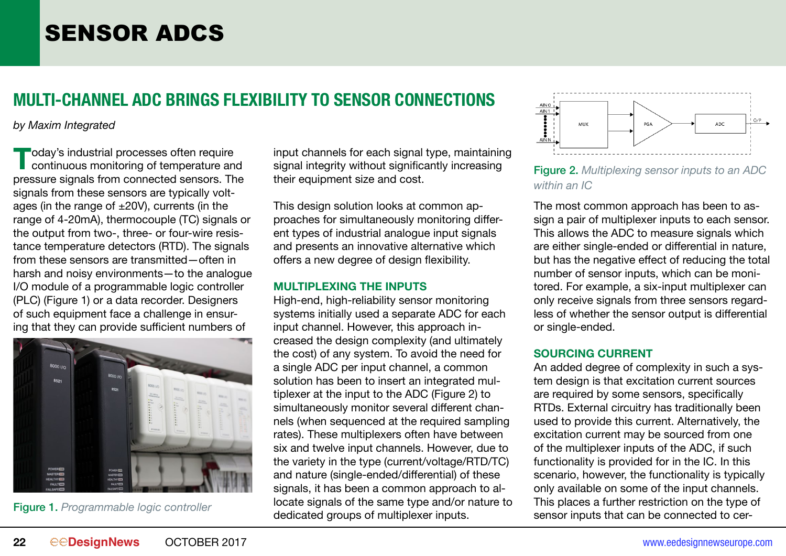# SENSOR ADCS

### **MULTI-CHANNEL ADC BRINGS FLEXIBILITY TO SENSOR CONNECTIONS**

*by Maxim Integrated*

**T**oday's industrial processes often require<br>
continuous monitoring of temperature and<br>
preseure eignels from connected sensors. The pressure signals from connected sensors. The signals from these sensors are typically voltages (in the range of  $\pm 20V$ ), currents (in the range of 4-20mA), thermocouple (TC) signals or the output from two-, three- or four-wire resistance temperature detectors (RTD). The signals from these sensors are transmitted—often in harsh and noisy environments—to the analogue I/O module of a programmable logic controller (PLC) (Figure 1) or a data recorder. Designers of such equipment face a challenge in ensuring that they can provide sufficient numbers of



Figure 1. *Programmable logic controller*

input channels for each signal type, maintaining signal integrity without significantly increasing their equipment size and cost.

This design solution looks at common approaches for simultaneously monitoring different types of industrial analogue input signals and presents an innovative alternative which offers a new degree of design flexibility.

#### **MULTIPLEXING THE INPUTS**

High-end, high-reliability sensor monitoring systems initially used a separate ADC for each input channel. However, this approach increased the design complexity (and ultimately the cost) of any system. To avoid the need for a single ADC per input channel, a common solution has been to insert an integrated multiplexer at the input to the ADC (Figure 2) to simultaneously monitor several different channels (when sequenced at the required sampling rates). These multiplexers often have between six and twelve input channels. However, due to the variety in the type (current/voltage/RTD/TC) and nature (single-ended/differential) of these signals, it has been a common approach to allocate signals of the same type and/or nature to dedicated groups of multiplexer inputs.



Figure 2. *Multiplexing sensor inputs to an ADC within an IC*

The most common approach has been to assign a pair of multiplexer inputs to each sensor. This allows the ADC to measure signals which are either single-ended or differential in nature, but has the negative effect of reducing the total number of sensor inputs, which can be monitored. For example, a six-input multiplexer can only receive signals from three sensors regardless of whether the sensor output is differential or single-ended.

#### **SOURCING CURRENT**

An added degree of complexity in such a system design is that excitation current sources are required by some sensors, specifically RTDs. External circuitry has traditionally been used to provide this current. Alternatively, the excitation current may be sourced from one of the multiplexer inputs of the ADC, if such functionality is provided for in the IC. In this scenario, however, the functionality is typically only available on some of the input channels. This places a further restriction on the type of sensor inputs that can be connected to cer-